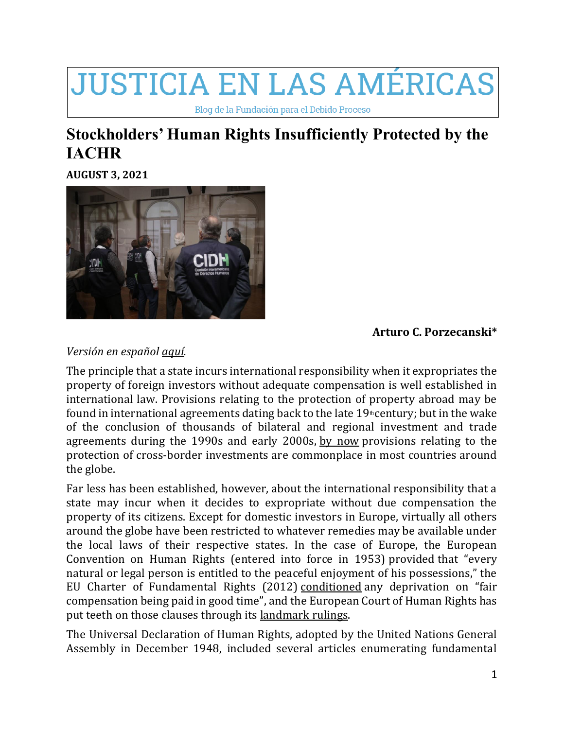## **JUSTICIA EN LAS AMÉRICAS**

Blog de la Fundación para el Debido Proceso

## **Stockholders' Human Rights Insufficiently Protected by the IACHR**

**[AUGUST](https://dplfblog.com/2021/08/03/stockholders-human-rights-insufficiently-protected-by-the-iachr/) 3, 2021**



## **Arturo C. Porzecanski\***

## *Versión en español [aquí.](https://dplfblog.com/2021/08/03/los-derechos-de-accionistas-insuficientemente-protegidos-por-la-cidh/)*

The principle that a state incurs international responsibility when it expropriates the property of foreign investors without adequate compensation is well established in international law. Provisions relating to the protection of property abroad may be found in international agreements dating back to the late  $19$ <sup>th</sup>century; but in the wake of the conclusion of thousands of bilateral and regional investment and trade agreements during the 1990s and early 2000s, by [now](https://oxford.universitypressscholarship.com/view/10.1093/acprof:oso/9780195388534.001.0001/acprof-9780195388534-chapter-1) provisions relating to the protection of cross-border investments are commonplace in most countries around the globe.

Far less has been established, however, about the international responsibility that a state may incur when it decides to expropriate without due compensation the property of its citizens. Except for domestic investors in Europe, virtually all others around the globe have been restricted to whatever remedies may be available under the local laws of their respective states. In the case of Europe, the European Convention on Human Rights (entered into force in 1953) [provided](https://www.echr.coe.int/documents/convention_eng.pdf) that "every natural or legal person is entitled to the peaceful enjoyment of his possessions," the EU Charter of Fundamental Rights (2012) [conditioned](https://eur-lex.europa.eu/legal-content/EN/TXT/?uri=CELEX:12012P/TXT) any deprivation on "fair compensation being paid in good time", and the European Court of Human Rights has put teeth on those clauses through its [landmark](https://ukhumanrightsblog.com/incorporated-rights/articles-index/protocol-1-article-1/) rulings.

The Universal Declaration of Human Rights, adopted by the United Nations General Assembly in December 1948, included several articles enumerating fundamental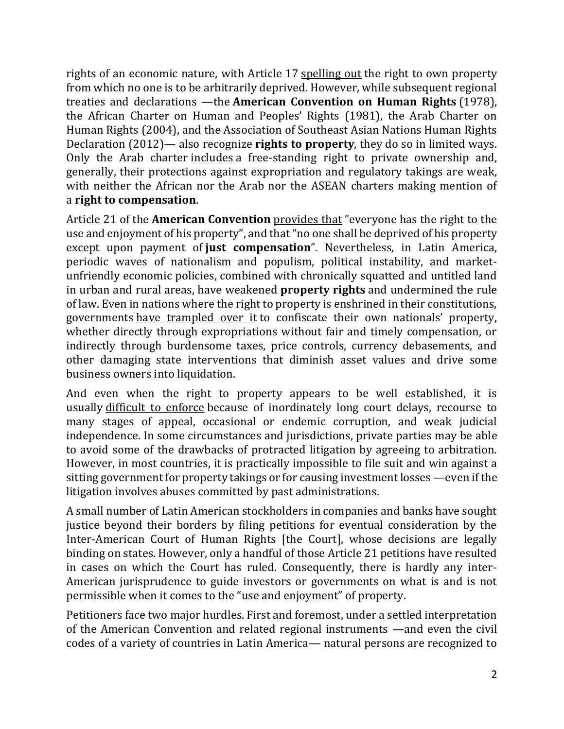rights of an economic nature, with Article 17 [spelling](https://www.un.org/en/about-us/universal-declaration-of-human-rights) out the right to own property from which no one is to be arbitrarily deprived. However, while subsequent regional treaties and declarations —the **American Convention on Human Rights** (1978), the African Charter on Human and Peoples' Rights (1981), the Arab Charter on Human Rights (2004), and the Association of Southeast Asian Nations Human Rights Declaration (2012)— also recognize **rights to property**, they do so in limited ways. Only the Arab charter [includes](http://hrlibrary.umn.edu/instree/loas2005.html#:~:text=interdependent%20and%20interrelated.-,1.,national%20sovereignty%20and%20territorial%20integrity.) a free-standing right to private ownership and, generally, their protections against expropriation and regulatory takings are weak, with neither the African nor the Arab nor the ASEAN charters making mention of a **right to compensation**.

Article 21 of the **American Convention** [provides](http://www.oas.org/dil/treaties_B-32_American_Convention_on_Human_Rights.htm) that "everyone has the right to the use and enjoyment of his property", and that "no one shall be deprived of his property except upon payment of **just compensation**". Nevertheless, in Latin America, periodic waves of nationalism and populism, political instability, and marketunfriendly economic policies, combined with chronically squatted and untitled land in urban and rural areas, have weakened **property rights** and undermined the rule of law. Even in nations where the right to property is enshrined in their constitutions, governments have [trampled](https://repository.law.miami.edu/cgi/viewcontent.cgi?article=1222&context=umiclr) over it to confiscate their own nationals' property, whether directly through expropriations without fair and timely compensation, or indirectly through burdensome taxes, price controls, currency debasements, and other damaging state interventions that diminish asset values and drive some business owners into liquidation.

And even when the right to property appears to be well established, it is usually [difficult](https://www.cobar.org/Portals/COBAR/TCL/2019/April/Features_IL.pdf) to enforce because of inordinately long court delays, recourse to many stages of appeal, occasional or endemic corruption, and weak judicial independence. In some circumstances and jurisdictions, private parties may be able to avoid some of the drawbacks of protracted litigation by agreeing to arbitration. However, in most countries, it is practically impossible to file suit and win against a sitting government for property takings or for causing investment losses —even if the litigation involves abuses committed by past administrations.

A small number of Latin American stockholders in companies and banks have sought justice beyond their borders by filing petitions for eventual consideration by the Inter-American Court of Human Rights [the Court], whose decisions are legally binding on states. However, only a handful of those Article 21 petitions have resulted in cases on which the Court has ruled. Consequently, there is hardly any inter-American jurisprudence to guide investors or governments on what is and is not permissible when it comes to the "use and enjoyment" of property.

Petitioners face two major hurdles. First and foremost, under a settled interpretation of the American Convention and related regional instruments —and even the civil codes of a variety of countries in Latin America— natural persons are recognized to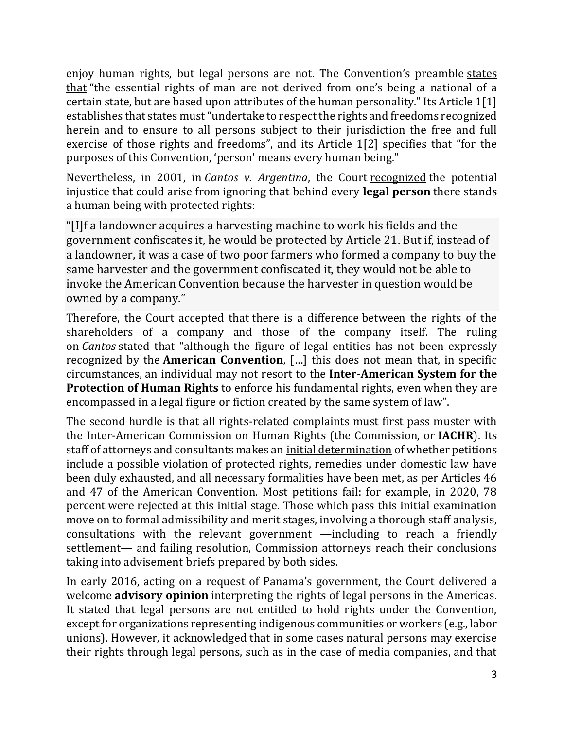enjoy human rights, but legal persons are not. The Convention's preamble [states](http://www.oas.org/dil/treaties_B-32_American_Convention_on_Human_Rights.htm) [that](http://www.oas.org/dil/treaties_B-32_American_Convention_on_Human_Rights.htm) "the essential rights of man are not derived from one's being a national of a certain state, but are based upon attributes of the human personality." Its Article 1[1] establishes that states must "undertake to respect the rights and freedoms recognized herein and to ensure to all persons subject to their jurisdiction the free and full exercise of those rights and freedoms", and its Article 1[2] specifies that "for the purposes of this Convention, 'person' means every human being."

Nevertheless, in 2001, in *Cantos v. Argentina*, the Court [recognized](http://www.corteidh.or.cr/docs/casos/articulos/seriec_85_ing.pdf) the potential injustice that could arise from ignoring that behind every **legal person** there stands a human being with protected rights:

"[I]f a landowner acquires a harvesting machine to work his fields and the government confiscates it, he would be protected by Article 21. But if, instead of a landowner, it was a case of two poor farmers who formed a company to buy the same harvester and the government confiscated it, they would not be able to invoke the American Convention because the harvester in question would be owned by a company."

Therefore, the Court accepted that there is a [difference](http://www.corteidh.or.cr/docs/casos/articulos/seriec_85_ing.pdf) between the rights of the shareholders of a company and those of the company itself. The ruling on *Cantos* stated that "although the figure of legal entities has not been expressly recognized by the **American Convention**, […] this does not mean that, in specific circumstances, an individual may not resort to the **Inter-American System for the Protection of Human Rights** to enforce his fundamental rights, even when they are encompassed in a legal figure or fiction created by the same system of law".

The second hurdle is that all rights-related complaints must first pass muster with the Inter-American Commission on Human Rights (the Commission, or **IACHR**). Its staff of attorneys and consultants makes an initial [determination](https://www.proquest.com/openview/fe8a28bae892b00f19699a36cd2680e9/1?pq-origsite=gscholar&cbl=44595) of whether petitions include a possible violation of protected rights, remedies under domestic law have been duly exhausted, and all necessary formalities have been met, as per Articles 46 and 47 of the American Convention. Most petitions fail: for example, in 2020, 78 percent were [rejected](https://www.oas.org/en/iachr/docs/annual/2020/Chapters/IA2020cap2-en.pdf) at this initial stage. Those which pass this initial examination move on to formal admissibility and merit stages, involving a thorough staff analysis, consultations with the relevant government —including to reach a friendly settlement— and failing resolution, Commission attorneys reach their conclusions taking into advisement briefs prepared by both sides.

In early 2016, acting on a request of Panama's government, the Court delivered a welcome **[advisory](https://cdp-hrc.uottawa.ca/sites/cdp-hrc.uottawa.ca/files/english_summary-_iacthr_advisory_opinions_legal_persons.pdf) opinion** interpreting the rights of legal persons in the Americas. It stated that legal persons are not entitled to hold rights under the Convention, except for organizations representing indigenous communities or workers (e.g., labor unions). However, it acknowledged that in some cases natural persons may exercise their rights through legal persons, such as in the case of media companies, and that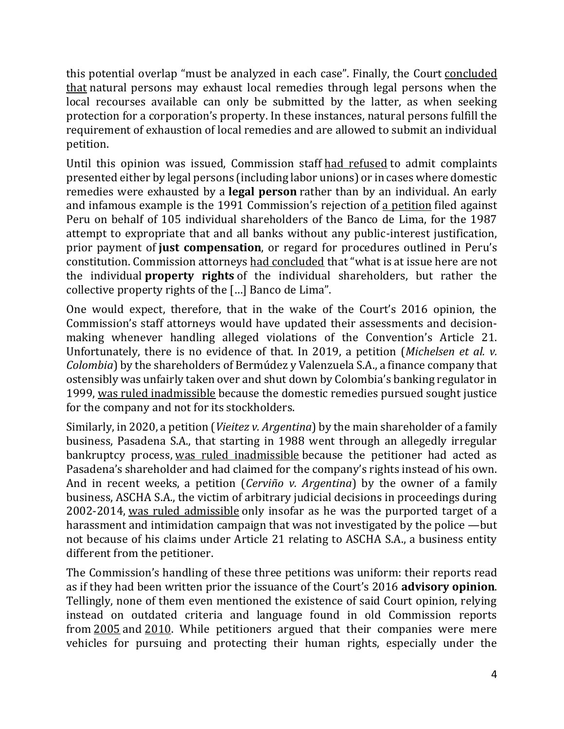this potential overlap "must be analyzed in each case". Finally, the Court [concluded](https://cdp-hrc.uottawa.ca/sites/cdp-hrc.uottawa.ca/files/english_summary-_iacthr_advisory_opinions_legal_persons.pdf) [that](https://cdp-hrc.uottawa.ca/sites/cdp-hrc.uottawa.ca/files/english_summary-_iacthr_advisory_opinions_legal_persons.pdf) natural persons may exhaust local remedies through legal persons when the local recourses available can only be submitted by the latter, as when seeking protection for a corporation's property. In these instances, natural persons fulfill the requirement of exhaustion of local remedies and are allowed to submit an individual petition.

Until this opinion was issued, Commission staff had [refused](https://brill.com/view/journals/iclr/21/5/article-p449_6.xml) to admit complaints presented either by legal persons (including labor unions) or in cases where domestic remedies were exhausted by a **legal person** rather than by an individual. An early and infamous example is the 1991 Commission's rejection of a [petition](https://repository.law.miami.edu/cgi/viewcontent.cgi?article=1222&context=umiclr) filed against Peru on behalf of 105 individual shareholders of the Banco de Lima, for the 1987 attempt to expropriate that and all banks without any public-interest justification, prior payment of **just compensation**, or regard for procedures outlined in Peru's constitution. Commission attorneys had [concluded](https://www.cidh.oas.org/annualrep/90.91eng/Peru10.169.htm) that "what is at issue here are not the individual **property rights** of the individual shareholders, but rather the collective property rights of the […] Banco de Lima".

One would expect, therefore, that in the wake of the Court's 2016 opinion, the Commission's staff attorneys would have updated their assessments and decisionmaking whenever handling alleged violations of the Convention's Article 21. Unfortunately, there is no evidence of that. In 2019, a petition (*Michelsen et al. v. Colombia*) by the shareholders of Bermúdez y Valenzuela S.A., a finance company that ostensibly was unfairly taken over and shut down by Colombia's banking regulator in 1999, was ruled [inadmissible](https://www.oas.org/es/cidh/decisiones/2019/COIN709-07ES.pdf) because the domestic remedies pursued sought justice for the company and not for its stockholders.

Similarly, in 2020, a petition (*Vieitez v. Argentina*) by the main shareholder of a family business, Pasadena S.A., that starting in 1988 went through an allegedly irregular bankruptcy process, was ruled [inadmissible](https://www.oas.org/en/iachr/decisions/2020/arin939-08en.pdf) because the petitioner had acted as Pasadena's shareholder and had claimed for the company's rights instead of his own. And in recent weeks, a petition (*Cerviño v. Argentina*) by the owner of a family business, ASCHA S.A., the victim of arbitrary judicial decisions in proceedings during 2002-2014, was ruled [admissible](https://www.oas.org/en/iachr/decisions/2021/ARAD1331-08EN.pdf) only insofar as he was the purported target of a harassment and intimidation campaign that was not investigated by the police —but not because of his claims under Article 21 relating to ASCHA S.A., a business entity different from the petitioner.

The Commission's handling of these three petitions was uniform: their reports read as if they had been written prior the issuance of the Court's 2016 **advisory opinion**. Tellingly, none of them even mentioned the existence of said Court opinion, relying instead on outdated criteria and language found in old Commission reports from [2005](http://cidh.org/annualrep/2005eng/Peru.12139eng.htm) and [2010.](http://www.worldcourts.com/iacmhr/eng/decisions/2010.10.23_Betancourt_Estrada_et_al_v_Colombia.htm) While petitioners argued that their companies were mere vehicles for pursuing and protecting their human rights, especially under the